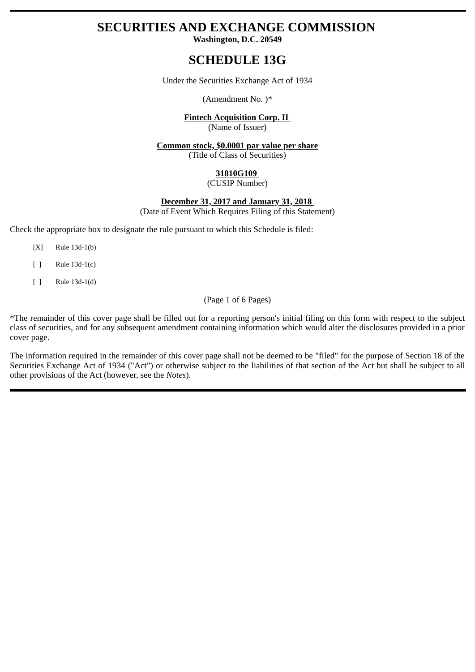# **SECURITIES AND EXCHANGE COMMISSION**

**Washington, D.C. 20549**

# **SCHEDULE 13G**

Under the Securities Exchange Act of 1934

(Amendment No. )\*

# **Fintech Acquisition Corp. II**

(Name of Issuer)

# **Common stock, \$0.0001 par value per share**

(Title of Class of Securities)

# **31810G109**

(CUSIP Number)

## **December 31, 2017 and January 31, 2018**

(Date of Event Which Requires Filing of this Statement)

Check the appropriate box to designate the rule pursuant to which this Schedule is filed:

- [X] Rule 13d-1(b)
- [ ] Rule 13d-1(c)
- [ ] Rule 13d-1(d)

(Page 1 of 6 Pages)

\*The remainder of this cover page shall be filled out for a reporting person's initial filing on this form with respect to the subject class of securities, and for any subsequent amendment containing information which would alter the disclosures provided in a prior cover page.

The information required in the remainder of this cover page shall not be deemed to be "filed" for the purpose of Section 18 of the Securities Exchange Act of 1934 ("Act") or otherwise subject to the liabilities of that section of the Act but shall be subject to all other provisions of the Act (however, see the *Notes*).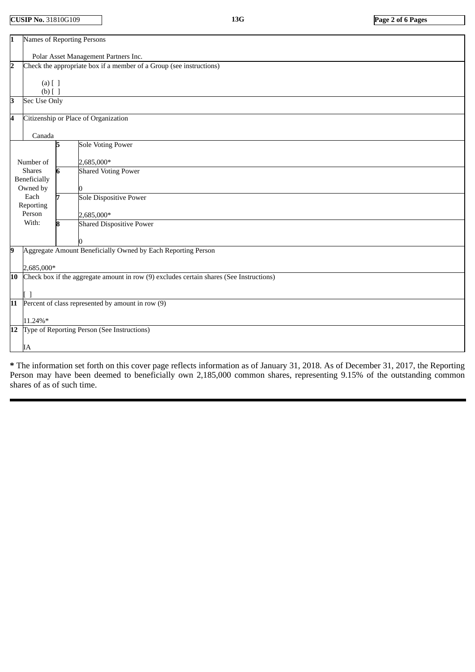**CUSIP No.** 31810G109 **13G Page 2 of 6 Pages**

| $\overline{1}$                                        | <b>Names of Reporting Persons</b>                                                       |
|-------------------------------------------------------|-----------------------------------------------------------------------------------------|
|                                                       | Polar Asset Management Partners Inc.                                                    |
| $\overline{\mathbf{2}}$<br>$(a)$ $[$ $]$<br>$(b)$ [ ] | Check the appropriate box if a member of a Group (see instructions)                     |
| 3<br>Sec Use Only                                     |                                                                                         |
| 4                                                     | Citizenship or Place of Organization                                                    |
| Canada                                                |                                                                                         |
|                                                       | <b>Sole Voting Power</b><br>5                                                           |
| Number of                                             | 2,685,000*                                                                              |
| <b>Shares</b>                                         | <b>Shared Voting Power</b><br>6                                                         |
| Beneficially<br>Owned by                              |                                                                                         |
| Each<br>Reporting                                     | 7<br><b>Sole Dispositive Power</b>                                                      |
| Person                                                | 2,685,000*                                                                              |
| With:                                                 | <b>Shared Dispositive Power</b><br>8                                                    |
|                                                       |                                                                                         |
| 9                                                     | Aggregate Amount Beneficially Owned by Each Reporting Person                            |
| 2,685,000*                                            |                                                                                         |
| 10                                                    | Check box if the aggregate amount in row (9) excludes certain shares (See Instructions) |
|                                                       |                                                                                         |
| 11                                                    | Percent of class represented by amount in row (9)                                       |
| 11.24%*                                               |                                                                                         |
| 12                                                    | Type of Reporting Person (See Instructions)                                             |
| IA                                                    |                                                                                         |

**\*** The information set forth on this cover page reflects information as of January 31, 2018. As of December 31, 2017, the Reporting Person may have been deemed to beneficially own 2,185,000 common shares, representing 9.15% of the outstanding common shares of as of such time.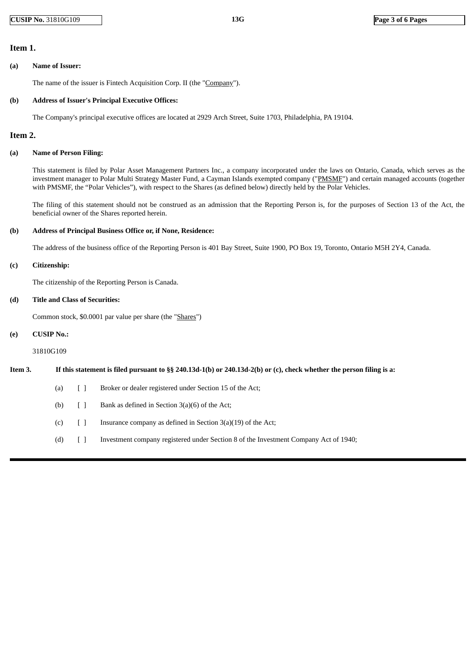## **Item 1.**

#### **(a) Name of Issuer:**

The name of the issuer is Fintech Acquisition Corp. II (the "Company").

#### **(b) Address of Issuer's Principal Executive Offices:**

The Company's principal executive offices are located at 2929 Arch Street, Suite 1703, Philadelphia, PA 19104.

### **Item 2.**

#### **(a) Name of Person Filing:**

This statement is filed by Polar Asset Management Partners Inc., a company incorporated under the laws on Ontario, Canada, which serves as the investment manager to Polar Multi Strategy Master Fund, a Cayman Islands exempted company ("PMSME") and certain managed accounts (together with PMSMF, the "Polar Vehicles"), with respect to the Shares (as defined below) directly held by the Polar Vehicles.

The filing of this statement should not be construed as an admission that the Reporting Person is, for the purposes of Section 13 of the Act, the beneficial owner of the Shares reported herein.

#### **(b) Address of Principal Business Office or, if None, Residence:**

The address of the business office of the Reporting Person is 401 Bay Street, Suite 1900, PO Box 19, Toronto, Ontario M5H 2Y4, Canada.

#### **(c) Citizenship:**

The citizenship of the Reporting Person is Canada.

#### **(d) Title and Class of Securities:**

Common stock, \$0.0001 par value per share (the "Shares")

#### **(e) CUSIP No.:**

31810G109

#### Item 3. If this statement is filed pursuant to §§ 240.13d-1(b) or 240.13d-2(b) or (c), check whether the person filing is a:

- (a) [ ] Broker or dealer registered under Section 15 of the Act;
- (b)  $\lceil \cdot \rceil$  Bank as defined in Section 3(a)(6) of the Act;
- (c)  $\left[ \begin{array}{cc} \end{array} \right]$  Insurance company as defined in Section 3(a)(19) of the Act;
- (d) [ ] Investment company registered under Section 8 of the Investment Company Act of 1940;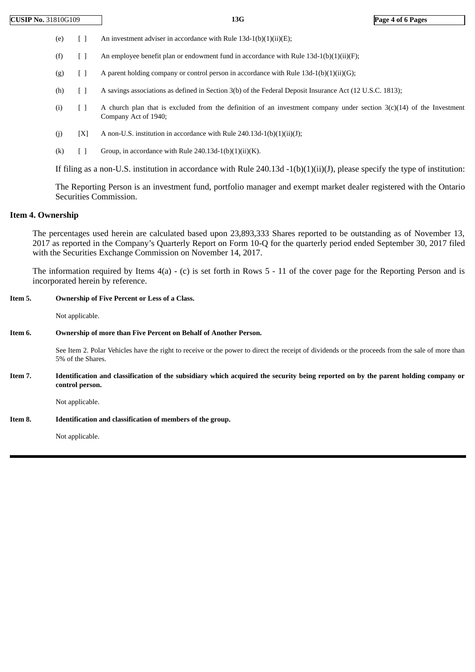- (e)  $[ ]$  An investment adviser in accordance with Rule 13d-1(b)(1)(ii)(E);
- (f)  $\qquad$  [ ] An employee benefit plan or endowment fund in accordance with Rule 13d-1(b)(1)(ii)(F);
- (g)  $[$  A parent holding company or control person in accordance with Rule 13d-1(b)(1)(ii)(G);
- (h) [ ] A savings associations as defined in Section 3(b) of the Federal Deposit Insurance Act (12 U.S.C. 1813);
- (i)  $\begin{bmatrix} 1 \end{bmatrix}$  A church plan that is excluded from the definition of an investment company under section 3(c)(14) of the Investment Company Act of 1940;
- (j)  $[X]$  A non-U.S. institution in accordance with Rule 240.13d-1(b)(1)(ii)(J);
- (k)  $[ ]$  Group, in accordance with Rule 240.13d-1(b)(1)(ii)(K).

If filing as a non-U.S. institution in accordance with Rule 240.13d  $-1(b)(1)(ii)(J)$ , please specify the type of institution:

The Reporting Person is an investment fund, portfolio manager and exempt market dealer registered with the Ontario Securities Commission.

### **Item 4. Ownership**

The percentages used herein are calculated based upon 23,893,333 Shares reported to be outstanding as of November 13, 2017 as reported in the Company's Quarterly Report on Form 10-Q for the quarterly period ended September 30, 2017 filed with the Securities Exchange Commission on November 14, 2017.

The information required by Items 4(a) - (c) is set forth in Rows 5 - 11 of the cover page for the Reporting Person and is incorporated herein by reference.

#### **Item 5. Ownership of Five Percent or Less of a Class.**

Not applicable.

#### **Item 6. Ownership of more than Five Percent on Behalf of Another Person.**

See Item 2. Polar Vehicles have the right to receive or the power to direct the receipt of dividends or the proceeds from the sale of more than 5% of the Shares.

Item 7. Identification and classification of the subsidiary which acquired the security being reported on by the parent holding company or **control person.**

Not applicable.

**Item 8. Identification and classification of members of the group.**

Not applicable.